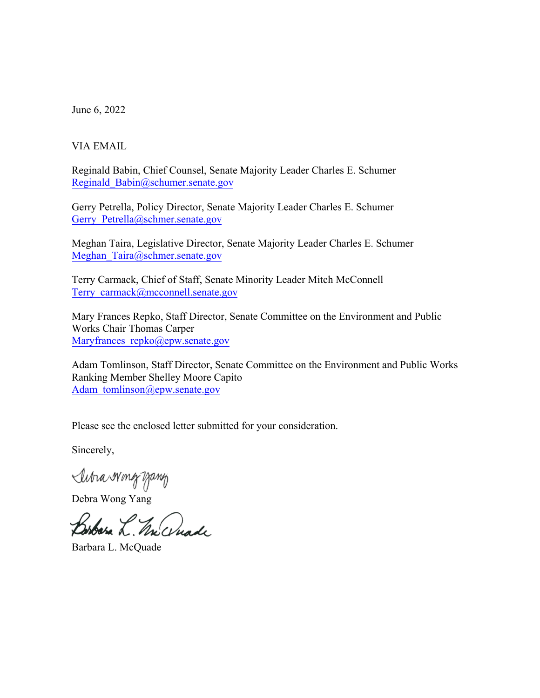June 6, 2022

## VIA EMAIL

Reginald Babin, Chief Counsel, Senate Majority Leader Charles E. Schumer Reginald\_Babin@schumer.senate.gov

Gerry Petrella, Policy Director, Senate Majority Leader Charles E. Schumer Gerry Petrella@schmer.senate.gov

Meghan Taira, Legislative Director, Senate Majority Leader Charles E. Schumer Meghan Taira@schmer.senate.gov

Terry Carmack, Chief of Staff, Senate Minority Leader Mitch McConnell Terry\_carmack@mcconnell.senate.gov

Mary Frances Repko, Staff Director, Senate Committee on the Environment and Public Works Chair Thomas Carper Maryfrances repko@epw.senate.gov

Adam Tomlinson, Staff Director, Senate Committee on the Environment and Public Works Ranking Member Shelley Moore Capito Adam\_tomlinson@epw.senate.gov

Please see the enclosed letter submitted for your consideration.

Sincerely,

Subra Wing yang

Debra Wong Yang

Borbara L. Mc anade

Barbara L. McQuade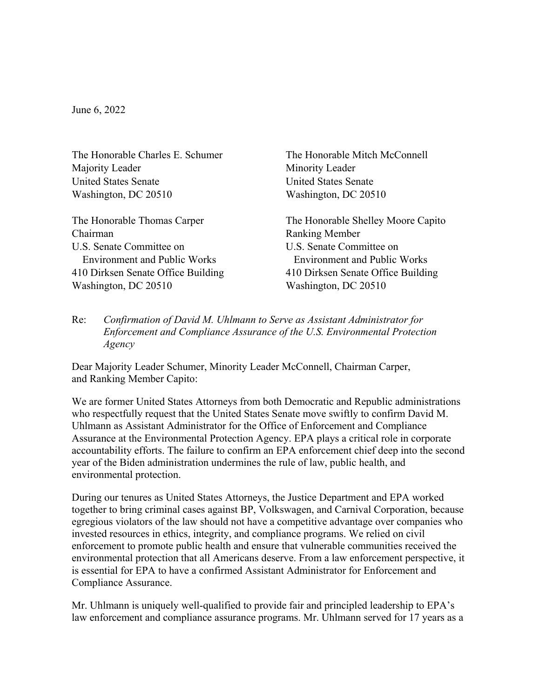June 6, 2022

The Honorable Charles E. Schumer Majority Leader United States Senate Washington, DC 20510

The Honorable Thomas Carper Chairman U.S. Senate Committee on Environment and Public Works 410 Dirksen Senate Office Building Washington, DC 20510

The Honorable Mitch McConnell Minority Leader United States Senate Washington, DC 20510

The Honorable Shelley Moore Capito Ranking Member U.S. Senate Committee on Environment and Public Works 410 Dirksen Senate Office Building Washington, DC 20510

Re: *Confirmation of David M. Uhlmann to Serve as Assistant Administrator for Enforcement and Compliance Assurance of the U.S. Environmental Protection Agency*

Dear Majority Leader Schumer, Minority Leader McConnell, Chairman Carper, and Ranking Member Capito:

We are former United States Attorneys from both Democratic and Republic administrations who respectfully request that the United States Senate move swiftly to confirm David M. Uhlmann as Assistant Administrator for the Office of Enforcement and Compliance Assurance at the Environmental Protection Agency. EPA plays a critical role in corporate accountability efforts. The failure to confirm an EPA enforcement chief deep into the second year of the Biden administration undermines the rule of law, public health, and environmental protection.

During our tenures as United States Attorneys, the Justice Department and EPA worked together to bring criminal cases against BP, Volkswagen, and Carnival Corporation, because egregious violators of the law should not have a competitive advantage over companies who invested resources in ethics, integrity, and compliance programs. We relied on civil enforcement to promote public health and ensure that vulnerable communities received the environmental protection that all Americans deserve. From a law enforcement perspective, it is essential for EPA to have a confirmed Assistant Administrator for Enforcement and Compliance Assurance.

Mr. Uhlmann is uniquely well-qualified to provide fair and principled leadership to EPA's law enforcement and compliance assurance programs. Mr. Uhlmann served for 17 years as a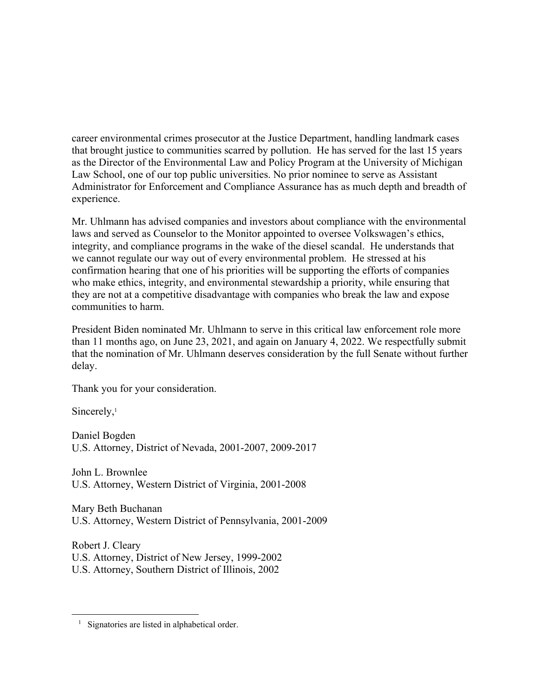career environmental crimes prosecutor at the Justice Department, handling landmark cases that brought justice to communities scarred by pollution. He has served for the last 15 years as the Director of the Environmental Law and Policy Program at the University of Michigan Law School, one of our top public universities. No prior nominee to serve as Assistant Administrator for Enforcement and Compliance Assurance has as much depth and breadth of experience.

Mr. Uhlmann has advised companies and investors about compliance with the environmental laws and served as Counselor to the Monitor appointed to oversee Volkswagen's ethics, integrity, and compliance programs in the wake of the diesel scandal. He understands that we cannot regulate our way out of every environmental problem. He stressed at his confirmation hearing that one of his priorities will be supporting the efforts of companies who make ethics, integrity, and environmental stewardship a priority, while ensuring that they are not at a competitive disadvantage with companies who break the law and expose communities to harm.

President Biden nominated Mr. Uhlmann to serve in this critical law enforcement role more than 11 months ago, on June 23, 2021, and again on January 4, 2022. We respectfully submit that the nomination of Mr. Uhlmann deserves consideration by the full Senate without further delay.

Thank you for your consideration.

Sincerely,<sup>1</sup>

Daniel Bogden U.S. Attorney, District of Nevada, 2001-2007, 2009-2017

John L. Brownlee U.S. Attorney, Western District of Virginia, 2001-2008

Mary Beth Buchanan U.S. Attorney, Western District of Pennsylvania, 2001-2009

Robert J. Cleary U.S. Attorney, District of New Jersey, 1999-2002 U.S. Attorney, Southern District of Illinois, 2002

<sup>&</sup>lt;sup>1</sup> Signatories are listed in alphabetical order.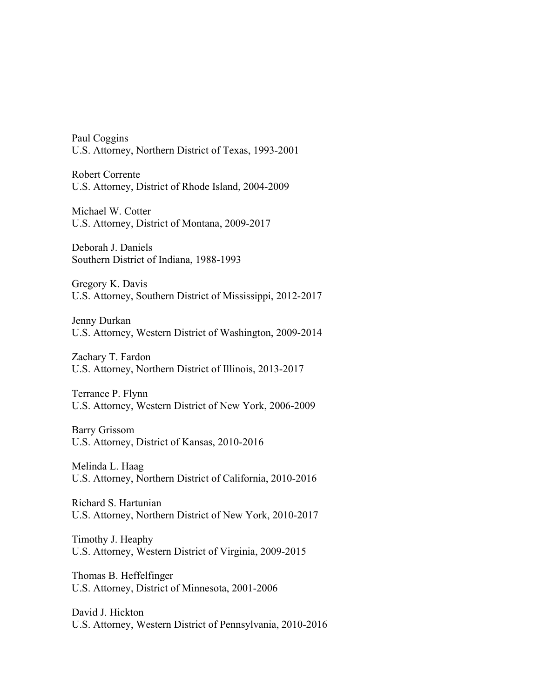Paul Coggins U.S. Attorney, Northern District of Texas, 1993-2001

Robert Corrente U.S. Attorney, District of Rhode Island, 2004-2009

Michael W. Cotter U.S. Attorney, District of Montana, 2009-2017

Deborah J. Daniels Southern District of Indiana, 1988-1993

Gregory K. Davis U.S. Attorney, Southern District of Mississippi, 2012-2017

Jenny Durkan U.S. Attorney, Western District of Washington, 2009-2014

Zachary T. Fardon U.S. Attorney, Northern District of Illinois, 2013-2017

Terrance P. Flynn U.S. Attorney, Western District of New York, 2006-2009

Barry Grissom U.S. Attorney, District of Kansas, 2010-2016

Melinda L. Haag U.S. Attorney, Northern District of California, 2010-2016

Richard S. Hartunian U.S. Attorney, Northern District of New York, 2010-2017

Timothy J. Heaphy U.S. Attorney, Western District of Virginia, 2009-2015

Thomas B. Heffelfinger U.S. Attorney, District of Minnesota, 2001-2006

David J. Hickton U.S. Attorney, Western District of Pennsylvania, 2010-2016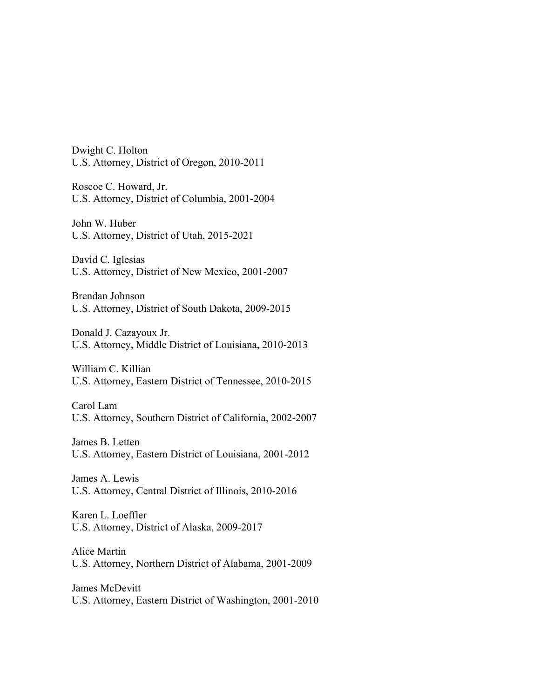Dwight C. Holton U.S. Attorney, District of Oregon, 2010-2011

Roscoe C. Howard, Jr. U.S. Attorney, District of Columbia, 2001-2004

John W. Huber U.S. Attorney, District of Utah, 2015-2021

David C. Iglesias U.S. Attorney, District of New Mexico, 2001-2007

Brendan Johnson U.S. Attorney, District of South Dakota, 2009-2015

Donald J. Cazayoux Jr. U.S. Attorney, Middle District of Louisiana, 2010-2013

William C. Killian U.S. Attorney, Eastern District of Tennessee, 2010-2015

Carol Lam U.S. Attorney, Southern District of California, 2002-2007

James B. Letten U.S. Attorney, Eastern District of Louisiana, 2001-2012

James A. Lewis U.S. Attorney, Central District of Illinois, 2010-2016

Karen L. Loeffler U.S. Attorney, District of Alaska, 2009-2017

Alice Martin U.S. Attorney, Northern District of Alabama, 2001-2009

James McDevitt U.S. Attorney, Eastern District of Washington, 2001-2010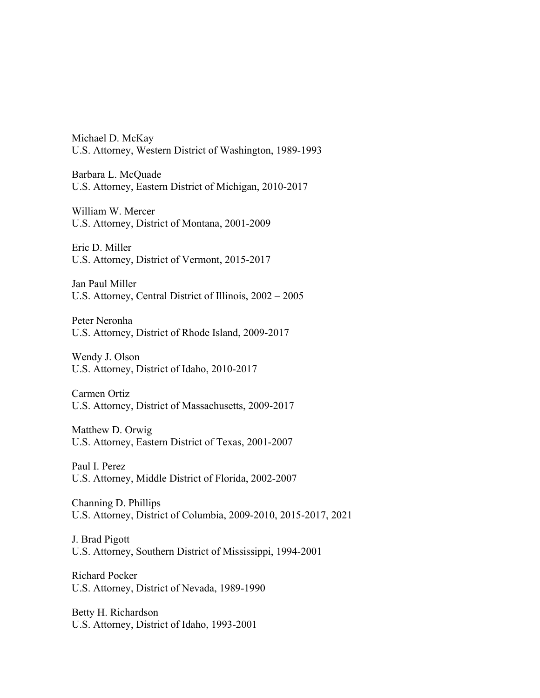Michael D. McKay U.S. Attorney, Western District of Washington, 1989-1993

Barbara L. McQuade U.S. Attorney, Eastern District of Michigan, 2010-2017

William W. Mercer U.S. Attorney, District of Montana, 2001-2009

Eric D. Miller U.S. Attorney, District of Vermont, 2015-2017

Jan Paul Miller U.S. Attorney, Central District of Illinois, 2002 – 2005

Peter Neronha U.S. Attorney, District of Rhode Island, 2009-2017

Wendy J. Olson U.S. Attorney, District of Idaho, 2010-2017

Carmen Ortiz U.S. Attorney, District of Massachusetts, 2009-2017

Matthew D. Orwig U.S. Attorney, Eastern District of Texas, 2001-2007

Paul I. Perez U.S. Attorney, Middle District of Florida, 2002-2007

Channing D. Phillips U.S. Attorney, District of Columbia, 2009-2010, 2015-2017, 2021

J. Brad Pigott U.S. Attorney, Southern District of Mississippi, 1994-2001

Richard Pocker U.S. Attorney, District of Nevada, 1989-1990

Betty H. Richardson U.S. Attorney, District of Idaho, 1993-2001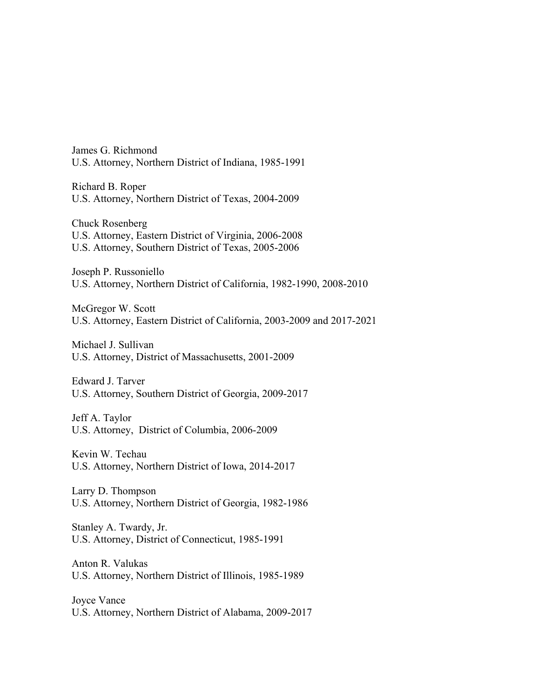James G. Richmond U.S. Attorney, Northern District of Indiana, 1985-1991

Richard B. Roper U.S. Attorney, Northern District of Texas, 2004-2009

Chuck Rosenberg U.S. Attorney, Eastern District of Virginia, 2006-2008 U.S. Attorney, Southern District of Texas, 2005-2006

Joseph P. Russoniello U.S. Attorney, Northern District of California, 1982-1990, 2008-2010

McGregor W. Scott U.S. Attorney, Eastern District of California, 2003-2009 and 2017-2021

Michael J. Sullivan U.S. Attorney, District of Massachusetts, 2001-2009

Edward J. Tarver U.S. Attorney, Southern District of Georgia, 2009-2017

Jeff A. Taylor U.S. Attorney, District of Columbia, 2006-2009

Kevin W. Techau U.S. Attorney, Northern District of Iowa, 2014-2017

Larry D. Thompson U.S. Attorney, Northern District of Georgia, 1982-1986

Stanley A. Twardy, Jr. U.S. Attorney, District of Connecticut, 1985-1991

Anton R. Valukas U.S. Attorney, Northern District of Illinois, 1985-1989

Joyce Vance U.S. Attorney, Northern District of Alabama, 2009-2017